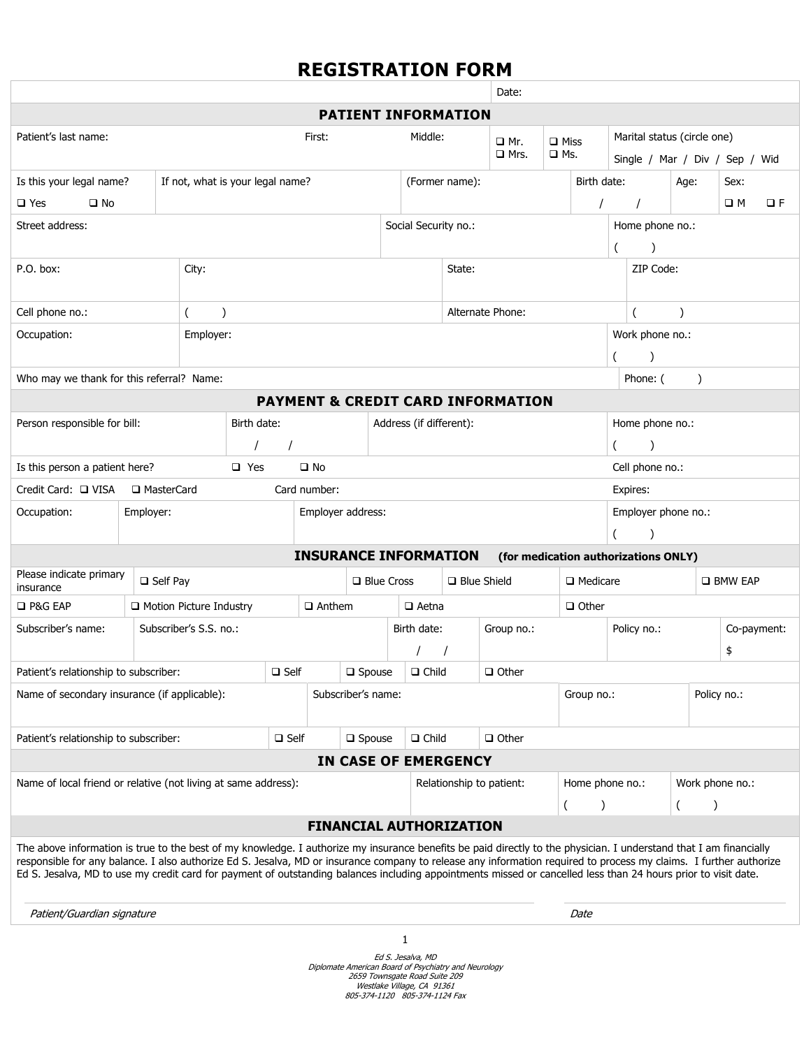# **REGISTRATION FORM**

|                                                                                                                                                                                                                                                                                                                                                                                                                                                                                                            |                           |              |            |                    |                                               |                            | Date:       |                    |                         |                                              |                 |                                |                       |                 |      |                  |      |  |
|------------------------------------------------------------------------------------------------------------------------------------------------------------------------------------------------------------------------------------------------------------------------------------------------------------------------------------------------------------------------------------------------------------------------------------------------------------------------------------------------------------|---------------------------|--------------|------------|--------------------|-----------------------------------------------|----------------------------|-------------|--------------------|-------------------------|----------------------------------------------|-----------------|--------------------------------|-----------------------|-----------------|------|------------------|------|--|
|                                                                                                                                                                                                                                                                                                                                                                                                                                                                                                            |                           |              |            |                    |                                               | <b>PATIENT INFORMATION</b> |             |                    |                         |                                              |                 |                                |                       |                 |      |                  |      |  |
| Patient's last name:                                                                                                                                                                                                                                                                                                                                                                                                                                                                                       |                           |              |            | First:<br>Middle:  |                                               |                            |             |                    | □ Mr.                   | $\Box$ Miss                                  |                 | Marital status (circle one)    |                       |                 |      |                  |      |  |
|                                                                                                                                                                                                                                                                                                                                                                                                                                                                                                            |                           |              |            |                    |                                               |                            |             |                    | $\square$ Mrs.          | $\square$ Ms.                                |                 | Single / Mar / Div / Sep / Wid |                       |                 |      |                  |      |  |
| Is this your legal name?<br>If not, what is your legal name?                                                                                                                                                                                                                                                                                                                                                                                                                                               |                           |              |            |                    |                                               |                            |             |                    | (Former name):          |                                              |                 | Birth date:                    |                       |                 | Age: |                  | Sex: |  |
| $\square$ No<br>$\square$ Yes                                                                                                                                                                                                                                                                                                                                                                                                                                                                              |                           |              |            |                    |                                               |                            |             |                    |                         |                                              |                 |                                |                       |                 | ПM   | $\Box F$         |      |  |
| Street address:                                                                                                                                                                                                                                                                                                                                                                                                                                                                                            |                           |              |            |                    |                                               | Social Security no.:       |             |                    |                         |                                              |                 |                                |                       | Home phone no.: |      |                  |      |  |
|                                                                                                                                                                                                                                                                                                                                                                                                                                                                                                            |                           |              |            |                    |                                               |                            |             |                    |                         |                                              |                 |                                |                       |                 |      |                  |      |  |
| P.O. box:<br>City:                                                                                                                                                                                                                                                                                                                                                                                                                                                                                         |                           |              |            |                    | State:                                        |                            |             |                    |                         |                                              |                 |                                | ZIP Code:             |                 |      |                  |      |  |
| Cell phone no.:                                                                                                                                                                                                                                                                                                                                                                                                                                                                                            |                           |              | $\lambda$  |                    | Alternate Phone:                              |                            |             |                    |                         |                                              |                 |                                |                       |                 |      |                  |      |  |
| Occupation:                                                                                                                                                                                                                                                                                                                                                                                                                                                                                                |                           |              | Employer:  |                    |                                               |                            |             |                    |                         |                                              |                 |                                |                       | Work phone no.: |      |                  |      |  |
|                                                                                                                                                                                                                                                                                                                                                                                                                                                                                                            |                           |              |            |                    |                                               |                            |             |                    |                         |                                              |                 |                                |                       |                 |      |                  |      |  |
| Who may we thank for this referral? Name:                                                                                                                                                                                                                                                                                                                                                                                                                                                                  |                           |              |            |                    |                                               |                            |             |                    |                         |                                              |                 |                                | Phone: (<br>$\lambda$ |                 |      |                  |      |  |
|                                                                                                                                                                                                                                                                                                                                                                                                                                                                                                            |                           |              |            |                    |                                               |                            |             |                    |                         | <b>PAYMENT &amp; CREDIT CARD INFORMATION</b> |                 |                                |                       |                 |      |                  |      |  |
| Person responsible for bill:                                                                                                                                                                                                                                                                                                                                                                                                                                                                               |                           |              |            | Birth date:        |                                               |                            |             |                    | Address (if different): |                                              |                 |                                | Home phone no.:       |                 |      |                  |      |  |
|                                                                                                                                                                                                                                                                                                                                                                                                                                                                                                            |                           |              |            |                    |                                               |                            |             |                    |                         |                                              |                 |                                |                       | $\lambda$       |      |                  |      |  |
| Is this person a patient here?                                                                                                                                                                                                                                                                                                                                                                                                                                                                             |                           |              | $\Box$ Yes |                    | $\square$ No                                  |                            |             |                    |                         |                                              |                 |                                | Cell phone no.:       |                 |      |                  |      |  |
| Credit Card: □ VISA                                                                                                                                                                                                                                                                                                                                                                                                                                                                                        |                           | □ MasterCard |            |                    | Card number:                                  |                            |             |                    |                         |                                              |                 | Expires:                       |                       |                 |      |                  |      |  |
| Occupation:                                                                                                                                                                                                                                                                                                                                                                                                                                                                                                | Employer:                 |              |            |                    | Employer address:                             |                            |             |                    |                         |                                              |                 |                                | Employer phone no.:   |                 |      |                  |      |  |
|                                                                                                                                                                                                                                                                                                                                                                                                                                                                                                            |                           |              |            |                    |                                               |                            |             |                    |                         |                                              |                 |                                | (                     |                 |      |                  |      |  |
|                                                                                                                                                                                                                                                                                                                                                                                                                                                                                                            |                           |              |            |                    | <b>INSURANCE INFORMATION</b>                  |                            |             |                    |                         | (for medication authorizations ONLY)         |                 |                                |                       |                 |      |                  |      |  |
| Please indicate primary<br>$\Box$ Self Pay<br>insurance                                                                                                                                                                                                                                                                                                                                                                                                                                                    |                           |              |            |                    | <b>Q</b> Blue Cross                           |                            |             | $\Box$ Blue Shield |                         |                                              | $\Box$ Medicare |                                |                       |                 |      | <b>O BMW EAP</b> |      |  |
| □ P&G EAP                                                                                                                                                                                                                                                                                                                                                                                                                                                                                                  | □ Motion Picture Industry |              |            |                    | $\Box$ Anthem                                 |                            |             | $\Box$ Aetna       |                         | $\Box$ Other                                 |                 |                                |                       |                 |      |                  |      |  |
| Subscriber's S.S. no.:<br>Subscriber's name:                                                                                                                                                                                                                                                                                                                                                                                                                                                               |                           |              |            |                    |                                               |                            | Birth date: |                    | Group no.:              |                                              |                 | Policy no.:                    |                       |                 |      | Co-payment:      |      |  |
|                                                                                                                                                                                                                                                                                                                                                                                                                                                                                                            |                           |              |            |                    |                                               |                            |             |                    |                         |                                              |                 | \$                             |                       |                 |      |                  |      |  |
| Patient's relationship to subscriber:                                                                                                                                                                                                                                                                                                                                                                                                                                                                      |                           |              |            | $\square$ Self     |                                               | $\square$ Spouse           |             | $\Box$ Child       |                         | $\Box$ Other                                 |                 |                                |                       |                 |      |                  |      |  |
| Name of secondary insurance (if applicable):                                                                                                                                                                                                                                                                                                                                                                                                                                                               |                           |              |            | Subscriber's name: |                                               |                            |             |                    |                         | Group no.:                                   |                 |                                |                       | Policy no.:     |      |                  |      |  |
|                                                                                                                                                                                                                                                                                                                                                                                                                                                                                                            |                           |              |            |                    |                                               |                            |             |                    |                         |                                              |                 |                                |                       |                 |      |                  |      |  |
| Patient's relationship to subscriber:<br>$\square$ Self                                                                                                                                                                                                                                                                                                                                                                                                                                                    |                           |              |            |                    | $\Box$ Other<br>$\Box$ Child<br>$\Box$ Spouse |                            |             |                    |                         |                                              |                 |                                |                       |                 |      |                  |      |  |
|                                                                                                                                                                                                                                                                                                                                                                                                                                                                                                            |                           |              |            |                    |                                               | IN CASE OF EMERGENCY       |             |                    |                         |                                              |                 |                                |                       |                 |      |                  |      |  |
| Name of local friend or relative (not living at same address):                                                                                                                                                                                                                                                                                                                                                                                                                                             |                           |              |            |                    |                                               | Relationship to patient:   |             |                    |                         | Home phone no.:                              |                 |                                |                       |                 |      | Work phone no.:  |      |  |
|                                                                                                                                                                                                                                                                                                                                                                                                                                                                                                            |                           |              |            |                    |                                               |                            |             |                    |                         | $\overline{(\cdot)}$                         |                 |                                |                       |                 |      |                  |      |  |
| <b>FINANCIAL AUTHORIZATION</b>                                                                                                                                                                                                                                                                                                                                                                                                                                                                             |                           |              |            |                    |                                               |                            |             |                    |                         |                                              |                 |                                |                       |                 |      |                  |      |  |
| The above information is true to the best of my knowledge. I authorize my insurance benefits be paid directly to the physician. I understand that I am financially<br>responsible for any balance. I also authorize Ed S. Jesalva, MD or insurance company to release any information required to process my claims. I further authorize<br>Ed S. Jesalva, MD to use my credit card for payment of outstanding balances including appointments missed or cancelled less than 24 hours prior to visit date. |                           |              |            |                    |                                               |                            |             |                    |                         |                                              |                 |                                |                       |                 |      |                  |      |  |

Patient/Guardian signature **Date** 

Ed S. Jesalva, MD<br>Diplomate American Board of Psychiatry and Neurology<br>269 Townsgate Road Suite 209<br>Westlake Village, CA 91361<br>805-374-1120 805-374-1124 Fax<br>805-374-1120 805-374-1124 Fax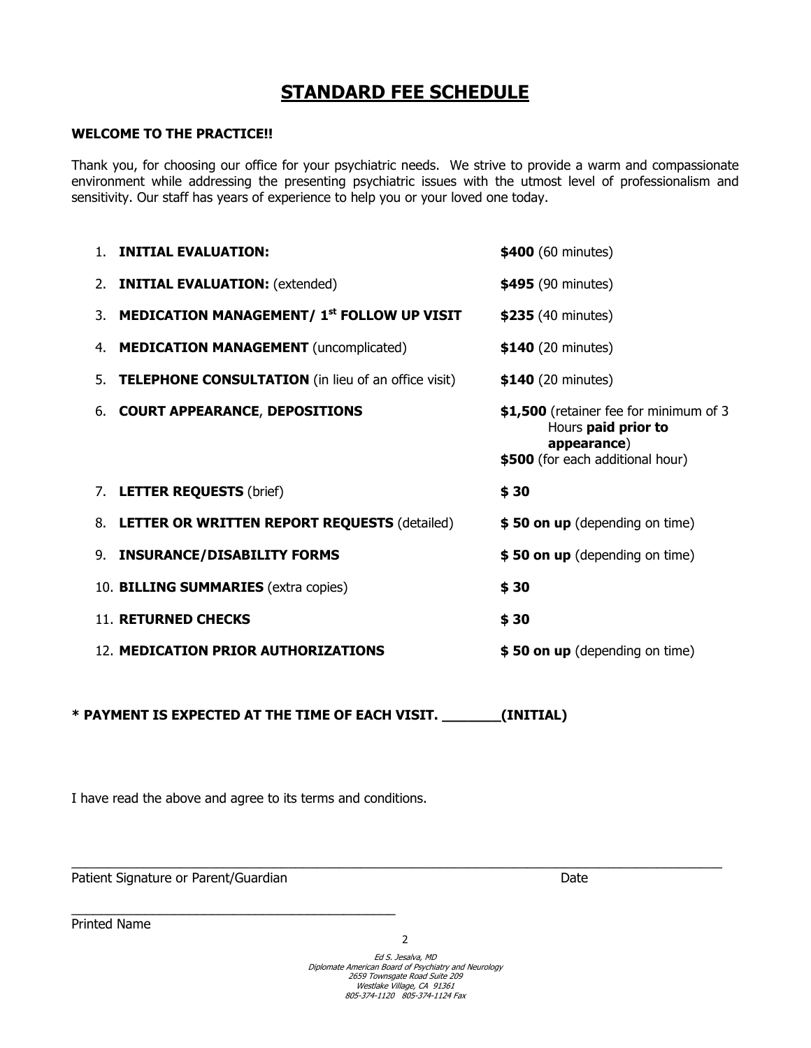### **STANDARD FEE SCHEDULE**

### **WELCOME TO THE PRACTICE!!**

Thank you, for choosing our office for your psychiatric needs. We strive to provide a warm and compassionate environment while addressing the presenting psychiatric issues with the utmost level of professionalism and sensitivity. Our staff has years of experience to help you or your loved one today.

|    | <b>INITIAL EVALUATION:</b>                                | \$400 (60 minutes)                                                                                               |
|----|-----------------------------------------------------------|------------------------------------------------------------------------------------------------------------------|
|    | 2. <b>INITIAL EVALUATION:</b> (extended)                  | \$495 (90 minutes)                                                                                               |
|    | 3. MEDICATION MANAGEMENT/ 1 <sup>st</sup> FOLLOW UP VISIT | \$235 (40 minutes)                                                                                               |
|    | 4. MEDICATION MANAGEMENT (uncomplicated)                  | \$140 (20 minutes)                                                                                               |
|    | 5. TELEPHONE CONSULTATION (in lieu of an office visit)    | \$140 (20 minutes)                                                                                               |
|    | 6. COURT APPEARANCE, DEPOSITIONS                          | \$1,500 (retainer fee for minimum of 3<br>Hours paid prior to<br>appearance)<br>\$500 (for each additional hour) |
|    | 7. LETTER REQUESTS (brief)                                | \$30                                                                                                             |
| 8. | <b>LETTER OR WRITTEN REPORT REQUESTS (detailed)</b>       | \$50 on up (depending on time)                                                                                   |
|    | 9. INSURANCE/DISABILITY FORMS                             | \$50 on up (depending on time)                                                                                   |
|    | 10. BILLING SUMMARIES (extra copies)                      | \$30                                                                                                             |
|    | <b>11. RETURNED CHECKS</b>                                | \$30                                                                                                             |
|    | 12. MEDICATION PRIOR AUTHORIZATIONS                       | \$50 on up (depending on time)                                                                                   |

**\* PAYMENT IS EXPECTED AT THE TIME OF EACH VISIT. \_\_\_\_\_\_\_(INITIAL)** 

I have read the above and agree to its terms and conditions.

Patient Signature or Parent/Guardian Date Date Date

Printed Name

2

 $\_$  , and the state of the state of the state of the state of the state of the state of the state of the state of the state of the state of the state of the state of the state of the state of the state of the state of the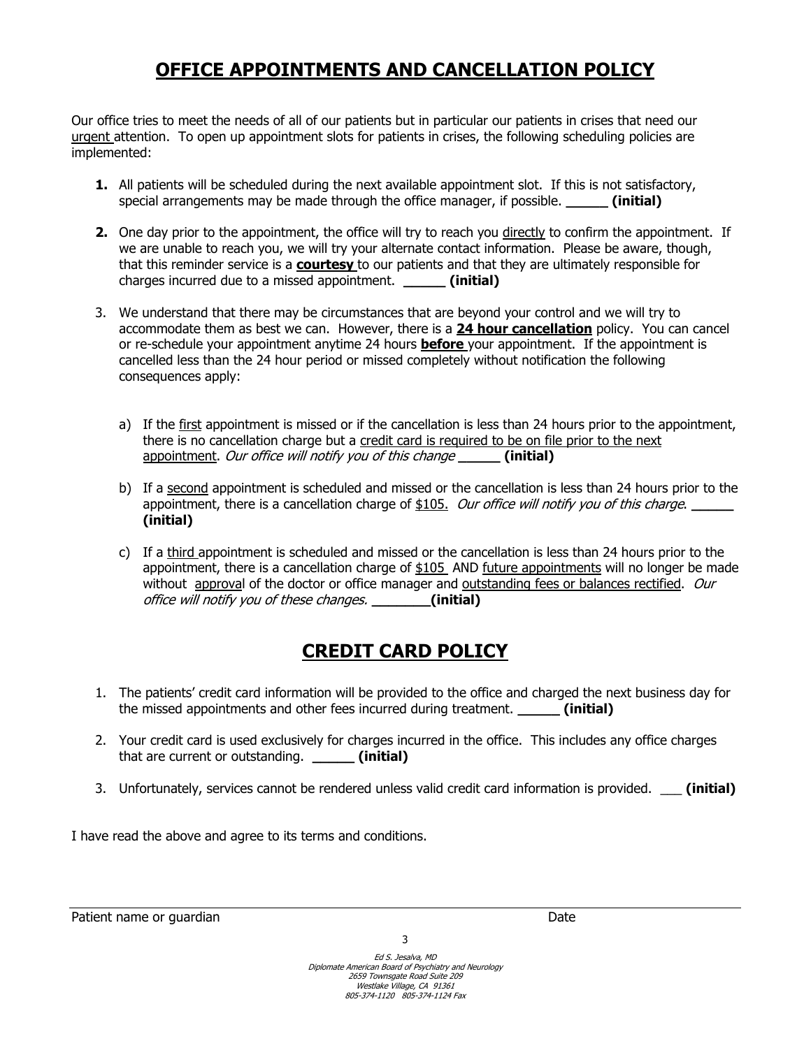# **OFFICE APPOINTMENTS AND CANCELLATION POLICY**

Our office tries to meet the needs of all of our patients but in particular our patients in crises that need our urgent attention. To open up appointment slots for patients in crises, the following scheduling policies are implemented:

- **1.** All patients will be scheduled during the next available appointment slot. If this is not satisfactory, special arrangements may be made through the office manager, if possible. *(initial)*
- **2.** One day prior to the appointment, the office will try to reach you directly to confirm the appointment. If we are unable to reach you, we will try your alternate contact information. Please be aware, though, that this reminder service is a **courtesy** to our patients and that they are ultimately responsible for charges incurred due to a missed appointment. **\_\_\_\_\_ (initial)**
- 3. We understand that there may be circumstances that are beyond your control and we will try to accommodate them as best we can. However, there is a **24 hour cancellation** policy. You can cancel or re-schedule your appointment anytime 24 hours **before** your appointment. If the appointment is cancelled less than the 24 hour period or missed completely without notification the following consequences apply:
	- a) If the first appointment is missed or if the cancellation is less than 24 hours prior to the appointment, there is no cancellation charge but a credit card is required to be on file prior to the next appointment. Our office will notify you of this change **\_\_\_\_\_ (initial)**
	- b) If a second appointment is scheduled and missed or the cancellation is less than 24 hours prior to the appointment, there is a cancellation charge of \$105. *Our office will notify you of this charge*. **(initial)**
	- c) If a third appointment is scheduled and missed or the cancellation is less than 24 hours prior to the appointment, there is a cancellation charge of \$105\_AND future appointments will no longer be made without approval of the doctor or office manager and outstanding fees or balances rectified. Our office will notify you of these changes. **\_\_\_\_\_\_\_(initial)**

# **CREDIT CARD POLICY**

- 1. The patients' credit card information will be provided to the office and charged the next business day for the missed appointments and other fees incurred during treatment. **\_\_\_\_\_ (initial)**
- 2. Your credit card is used exclusively for charges incurred in the office. This includes any office charges that are current or outstanding. **\_\_\_\_\_ (initial)**
- 3. Unfortunately, services cannot be rendered unless valid credit card information is provided. \_\_\_ **(initial)**

I have read the above and agree to its terms and conditions.

Patient name or guardian Date of the Contract of the Contract of the Date of the Date of the Date of the Date of the Date of the Date of the Date of the Date of the Date of the Date of the Date of the Date of the Date of t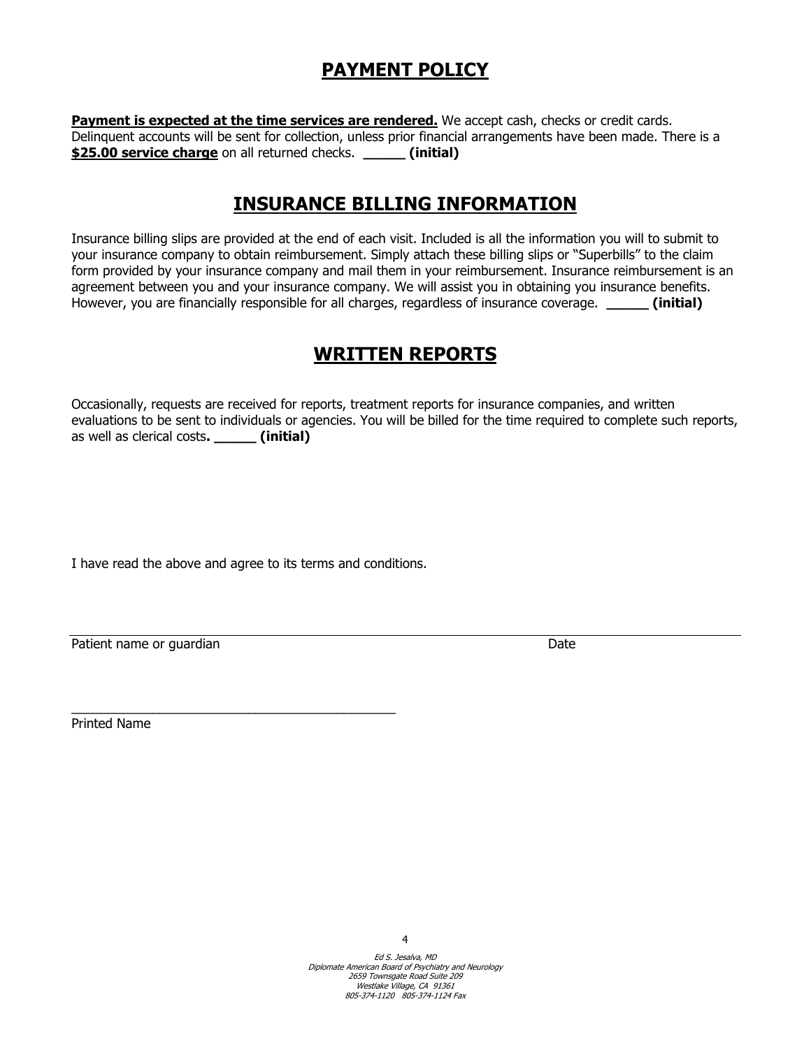# **PAYMENT POLICY**

**Payment is expected at the time services are rendered.** We accept cash, checks or credit cards. Delinquent accounts will be sent for collection, unless prior financial arrangements have been made. There is a **\$25.00 service charge** on all returned checks. **\_\_\_\_\_ (initial)**

### **INSURANCE BILLING INFORMATION**

Insurance billing slips are provided at the end of each visit. Included is all the information you will to submit to your insurance company to obtain reimbursement. Simply attach these billing slips or "Superbills" to the claim form provided by your insurance company and mail them in your reimbursement. Insurance reimbursement is an agreement between you and your insurance company. We will assist you in obtaining you insurance benefits. However, you are financially responsible for all charges, regardless of insurance coverage. **\_\_\_\_\_ (initial)**

### **WRITTEN REPORTS**

Occasionally, requests are received for reports, treatment reports for insurance companies, and written evaluations to be sent to individuals or agencies. You will be billed for the time required to complete such reports, as well as clerical costs**. \_\_\_\_\_ (initial)** 

I have read the above and agree to its terms and conditions.

\_\_\_\_\_\_\_\_\_\_\_\_\_\_\_\_\_\_\_\_\_\_\_\_\_\_\_\_\_\_\_\_\_\_\_\_\_\_\_\_\_\_\_\_

| Patient name or quardian | Date |
|--------------------------|------|
|                          |      |

Printed Name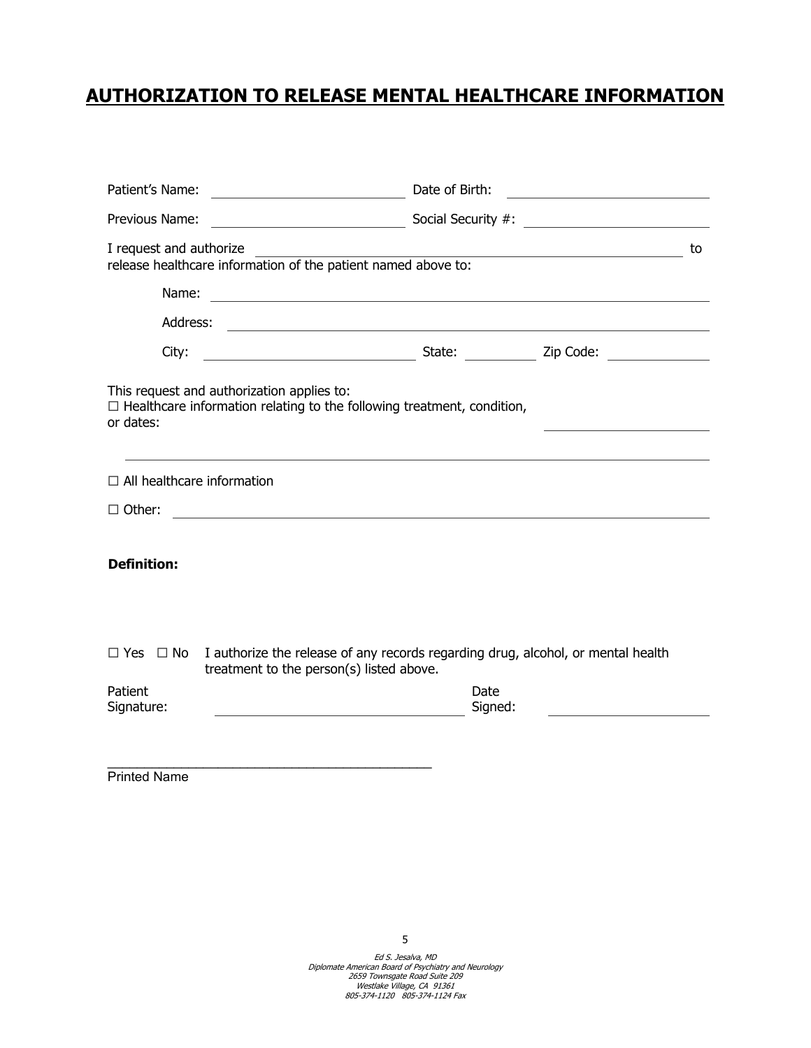# **AUTHORIZATION TO RELEASE MENTAL HEALTHCARE INFORMATION**

| Patient's Name:                               | <u> 1989 - Johann Barn, mars eta bainar eta idazlea (</u>                                                                    | Date of Birth:<br><u> 1980 - Andrea Station Books, amerikansk politik (</u> |                                                                                           |    |  |  |  |  |
|-----------------------------------------------|------------------------------------------------------------------------------------------------------------------------------|-----------------------------------------------------------------------------|-------------------------------------------------------------------------------------------|----|--|--|--|--|
| Previous Name:                                |                                                                                                                              |                                                                             |                                                                                           |    |  |  |  |  |
| I request and authorize                       | release healthcare information of the patient named above to:                                                                |                                                                             | the control of the control of the control of the control of the control of the control of | to |  |  |  |  |
| Name:                                         | <u> 1989 - Johann Barbara, martin amerikan basal dan berasal dan berasal dalam basal dan berasal dan berasal dan</u>         |                                                                             |                                                                                           |    |  |  |  |  |
| Address:                                      | <u> 1989 - Johann Harry Harry Harry Harry Harry Harry Harry Harry Harry Harry Harry Harry Harry Harry Harry Harry</u>        |                                                                             |                                                                                           |    |  |  |  |  |
| City:                                         |                                                                                                                              |                                                                             |                                                                                           |    |  |  |  |  |
| or dates:                                     | This request and authorization applies to:<br>$\Box$ Healthcare information relating to the following treatment, condition,  |                                                                             |                                                                                           |    |  |  |  |  |
| $\Box$ All healthcare information             |                                                                                                                              |                                                                             |                                                                                           |    |  |  |  |  |
| $\Box$ Other:                                 | <u> 1989 - Johann Stein, fransk politik (d. 1989)</u>                                                                        |                                                                             |                                                                                           |    |  |  |  |  |
| <b>Definition:</b>                            |                                                                                                                              |                                                                             |                                                                                           |    |  |  |  |  |
| $\Box$ Yes $\Box$ No<br>Patient<br>Signature: | I authorize the release of any records regarding drug, alcohol, or mental health<br>treatment to the person(s) listed above. | Date<br>Signed:                                                             |                                                                                           |    |  |  |  |  |
|                                               |                                                                                                                              |                                                                             |                                                                                           |    |  |  |  |  |

Printed Name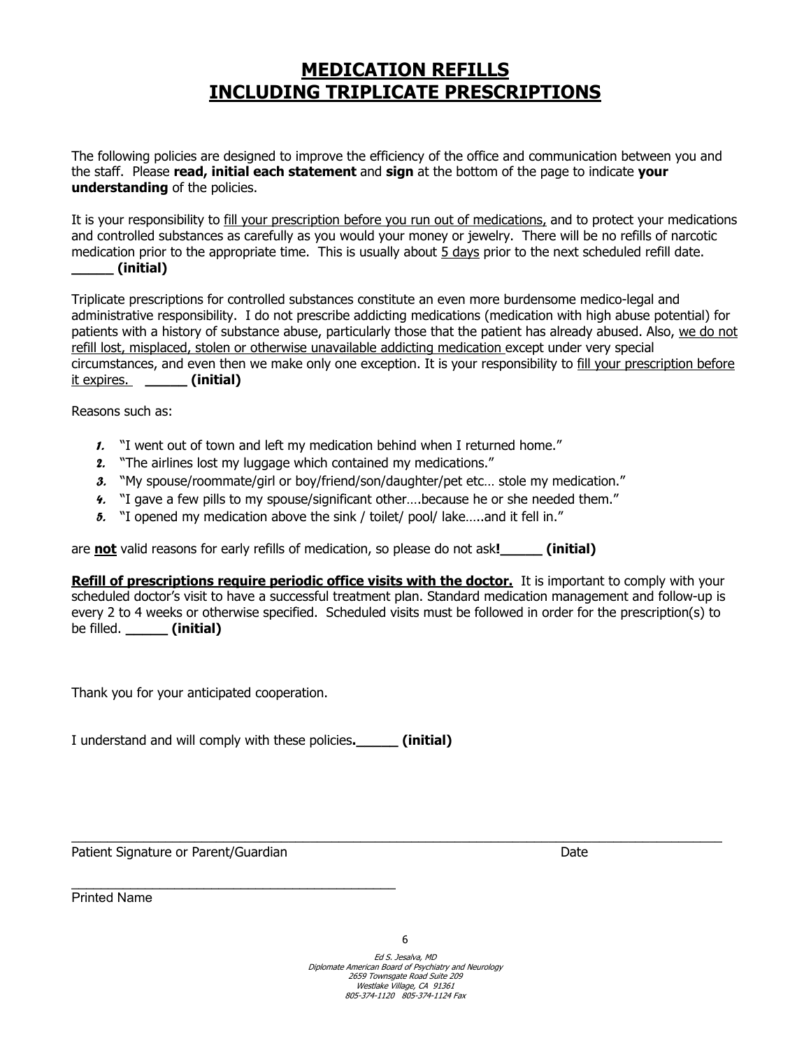### **MEDICATION REFILLS INCLUDING TRIPLICATE PRESCRIPTIONS**

The following policies are designed to improve the efficiency of the office and communication between you and the staff. Please **read, initial each statement** and **sign** at the bottom of the page to indicate **your understanding** of the policies.

It is your responsibility to fill your prescription before you run out of medications, and to protect your medications and controlled substances as carefully as you would your money or jewelry. There will be no refills of narcotic medication prior to the appropriate time. This is usually about  $5$  days prior to the next scheduled refill date. **\_\_\_\_\_ (initial)**

Triplicate prescriptions for controlled substances constitute an even more burdensome medico-legal and administrative responsibility. I do not prescribe addicting medications (medication with high abuse potential) for patients with a history of substance abuse, particularly those that the patient has already abused. Also, we do not refill lost, misplaced, stolen or otherwise unavailable addicting medication except under very special circumstances, and even then we make only one exception. It is your responsibility to fill your prescription before it expires. **\_\_\_\_\_ (initial)**

Reasons such as:

- *1.* "I went out of town and left my medication behind when I returned home."
- *2.* "The airlines lost my luggage which contained my medications."
- *3.* "My spouse/roommate/girl or boy/friend/son/daughter/pet etc… stole my medication."
- *4.* "I gave a few pills to my spouse/significant other….because he or she needed them."
- *5.* "I opened my medication above the sink / toilet/ pool/ lake…..and it fell in."

are **not** valid reasons for early refills of medication, so please do not ask**!\_\_\_\_\_ (initial)** 

| <b>Refill of prescriptions require periodic office visits with the doctor.</b> It is important to comply with your |
|--------------------------------------------------------------------------------------------------------------------|
| scheduled doctor's visit to have a successful treatment plan. Standard medication management and follow-up is      |
| every 2 to 4 weeks or otherwise specified. Scheduled visits must be followed in order for the prescription(s) to   |
| be filled. ( <b>initial</b> )                                                                                      |

Thank you for your anticipated cooperation.

I understand and will comply with these policies**.\_\_\_\_\_ (initial)** 

\_\_\_\_\_\_\_\_\_\_\_\_\_\_\_\_\_\_\_\_\_\_\_\_\_\_\_\_\_\_\_\_\_\_\_\_\_\_\_\_\_\_\_\_

Patient Signature or Parent/Guardian Date Date of Parents and Date Date Date Date

Printed Name

 $\_$  , and the state of the state of the state of the state of the state of the state of the state of the state of the state of the state of the state of the state of the state of the state of the state of the state of the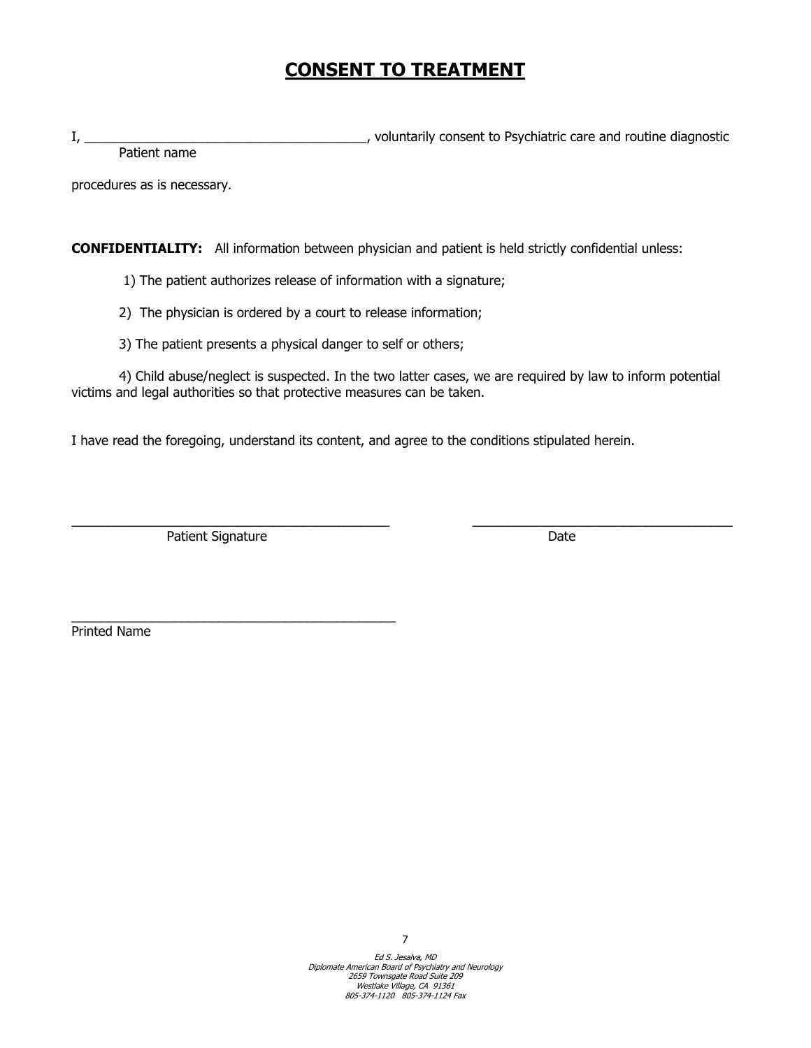# **CONSENT TO TREATMENT**

I, \_\_\_\_\_\_\_\_\_\_\_\_\_\_\_\_\_\_\_\_\_\_\_\_\_\_\_\_\_\_\_\_\_\_\_\_\_\_\_, voluntarily consent to Psychiatric care and routine diagnostic Patient name

procedures as is necessary.

**CONFIDENTIALITY:** All information between physician and patient is held strictly confidential unless:

1) The patient authorizes release of information with a signature;

2) The physician is ordered by a court to release information;

3) The patient presents a physical danger to self or others;

4) Child abuse/neglect is suspected. In the two latter cases, we are required by law to inform potential victims and legal authorities so that protective measures can be taken.

\_\_\_\_\_\_\_\_\_\_\_\_\_\_\_\_\_\_\_\_\_\_\_\_\_\_\_\_\_\_\_\_\_\_\_\_\_\_\_\_\_\_\_\_ \_\_\_\_\_\_\_\_\_\_\_\_\_\_\_\_\_\_\_\_\_\_\_\_\_\_\_\_\_\_\_\_\_\_\_\_

I have read the foregoing, understand its content, and agree to the conditions stipulated herein.

Patient Signature Date Date

\_\_\_\_\_\_\_\_\_\_\_\_\_\_\_\_\_\_\_\_\_\_\_\_\_\_\_\_\_\_\_\_\_\_\_\_\_\_\_\_\_\_\_\_

Printed Name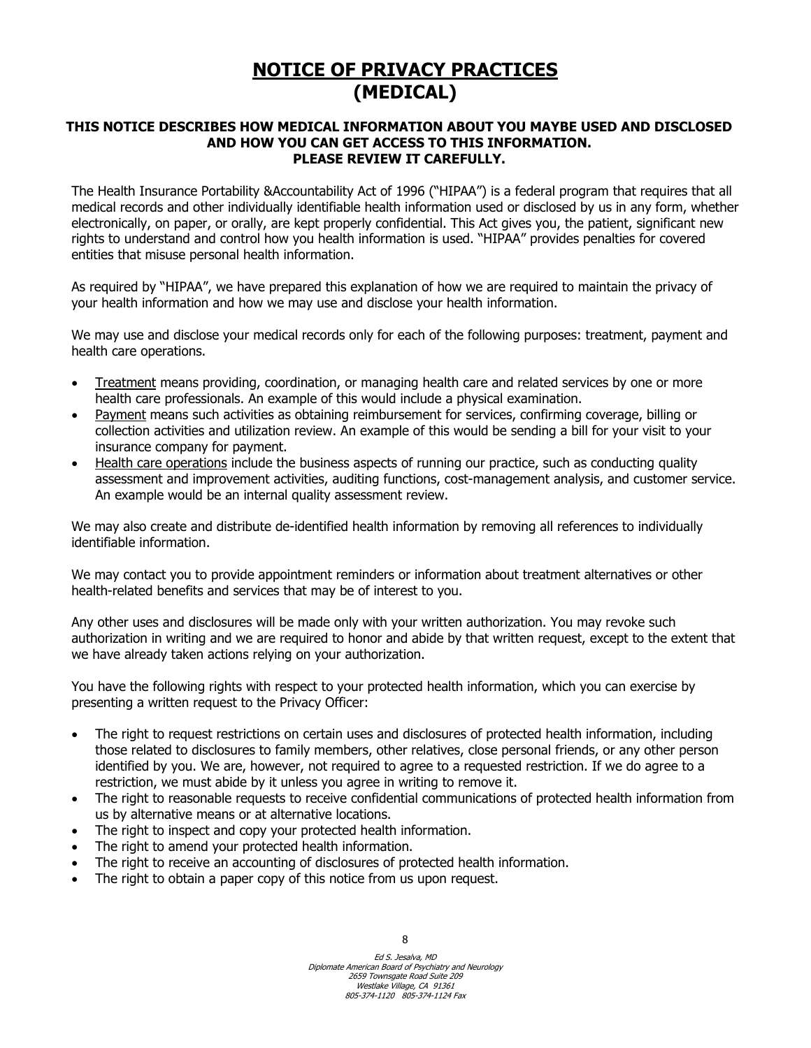# **NOTICE OF PRIVACY PRACTICES (MEDICAL)**

### **THIS NOTICE DESCRIBES HOW MEDICAL INFORMATION ABOUT YOU MAYBE USED AND DISCLOSED AND HOW YOU CAN GET ACCESS TO THIS INFORMATION. PLEASE REVIEW IT CAREFULLY.**

The Health Insurance Portability &Accountability Act of 1996 ("HIPAA") is a federal program that requires that all medical records and other individually identifiable health information used or disclosed by us in any form, whether electronically, on paper, or orally, are kept properly confidential. This Act gives you, the patient, significant new rights to understand and control how you health information is used. "HIPAA" provides penalties for covered entities that misuse personal health information.

As required by "HIPAA", we have prepared this explanation of how we are required to maintain the privacy of your health information and how we may use and disclose your health information.

We may use and disclose your medical records only for each of the following purposes: treatment, payment and health care operations.

- Treatment means providing, coordination, or managing health care and related services by one or more health care professionals. An example of this would include a physical examination.
- Payment means such activities as obtaining reimbursement for services, confirming coverage, billing or collection activities and utilization review. An example of this would be sending a bill for your visit to your insurance company for payment.
- Health care operations include the business aspects of running our practice, such as conducting quality assessment and improvement activities, auditing functions, cost-management analysis, and customer service. An example would be an internal quality assessment review.

We may also create and distribute de-identified health information by removing all references to individually identifiable information.

We may contact you to provide appointment reminders or information about treatment alternatives or other health-related benefits and services that may be of interest to you.

Any other uses and disclosures will be made only with your written authorization. You may revoke such authorization in writing and we are required to honor and abide by that written request, except to the extent that we have already taken actions relying on your authorization.

You have the following rights with respect to your protected health information, which you can exercise by presenting a written request to the Privacy Officer:

- The right to request restrictions on certain uses and disclosures of protected health information, including those related to disclosures to family members, other relatives, close personal friends, or any other person identified by you. We are, however, not required to agree to a requested restriction. If we do agree to a restriction, we must abide by it unless you agree in writing to remove it.
- The right to reasonable requests to receive confidential communications of protected health information from us by alternative means or at alternative locations.
- The right to inspect and copy your protected health information.
- The right to amend your protected health information.
- The right to receive an accounting of disclosures of protected health information.
- The right to obtain a paper copy of this notice from us upon request.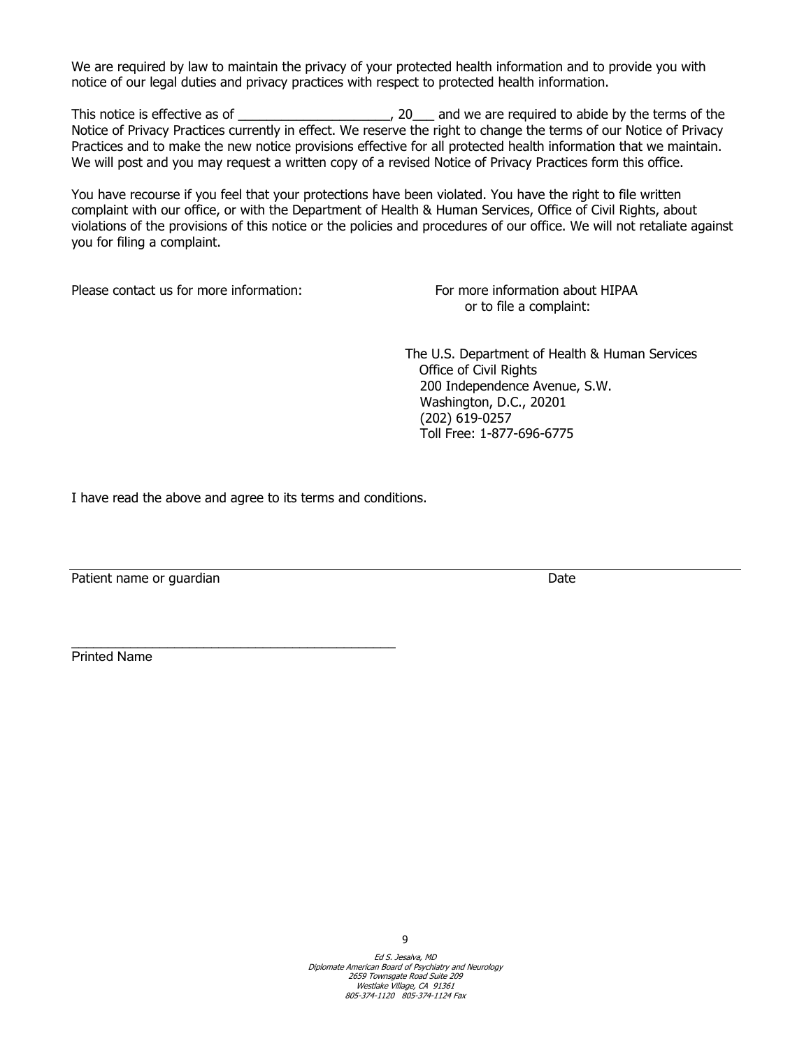We are required by law to maintain the privacy of your protected health information and to provide you with notice of our legal duties and privacy practices with respect to protected health information.

This notice is effective as of \_\_\_\_\_\_\_\_\_\_\_\_\_\_\_\_\_\_\_\_\_, 20\_\_\_ and we are required to abide by the terms of the Notice of Privacy Practices currently in effect. We reserve the right to change the terms of our Notice of Privacy Practices and to make the new notice provisions effective for all protected health information that we maintain. We will post and you may request a written copy of a revised Notice of Privacy Practices form this office.

You have recourse if you feel that your protections have been violated. You have the right to file written complaint with our office, or with the Department of Health & Human Services, Office of Civil Rights, about violations of the provisions of this notice or the policies and procedures of our office. We will not retaliate against you for filing a complaint.

Please contact us for more information: For more information about HIPAA

or to file a complaint:

The U.S. Department of Health & Human Services Office of Civil Rights 200 Independence Avenue, S.W. Washington, D.C., 20201 (202) 619-0257 Toll Free: 1-877-696-6775

I have read the above and agree to its terms and conditions.

Patient name or guardian Date of the Contract of the Date of the Date of the Date of the Date of the Date of the Date of the Date of the Date of the Date of the Date of the Date of the Date of the Date of the Date of the D

Printed Name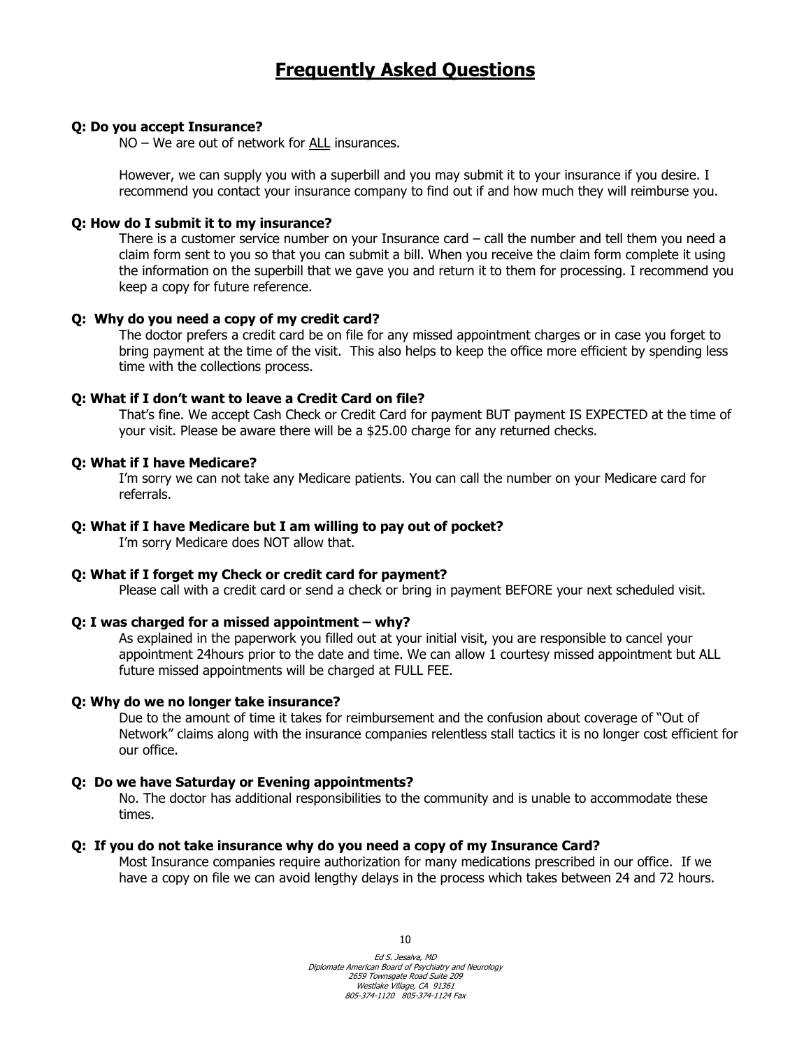## **Frequently Asked Questions**

### **Q: Do you accept Insurance?**

NO – We are out of network for ALL insurances.

However, we can supply you with a superbill and you may submit it to your insurance if you desire. I recommend you contact your insurance company to find out if and how much they will reimburse you.

#### **Q: How do I submit it to my insurance?**

There is a customer service number on your Insurance card – call the number and tell them you need a claim form sent to you so that you can submit a bill. When you receive the claim form complete it using the information on the superbill that we gave you and return it to them for processing. I recommend you keep a copy for future reference.

#### **Q: Why do you need a copy of my credit card?**

The doctor prefers a credit card be on file for any missed appointment charges or in case you forget to bring payment at the time of the visit. This also helps to keep the office more efficient by spending less time with the collections process.

### **Q: What if I don't want to leave a Credit Card on file?**

That's fine. We accept Cash Check or Credit Card for payment BUT payment IS EXPECTED at the time of your visit. Please be aware there will be a \$25.00 charge for any returned checks.

#### **Q: What if I have Medicare?**

I'm sorry we can not take any Medicare patients. You can call the number on your Medicare card for referrals.

#### **Q: What if I have Medicare but I am willing to pay out of pocket?**

I'm sorry Medicare does NOT allow that.

### **Q: What if I forget my Check or credit card for payment?**

Please call with a credit card or send a check or bring in payment BEFORE your next scheduled visit.

### **Q: I was charged for a missed appointment – why?**

As explained in the paperwork you filled out at your initial visit, you are responsible to cancel your appointment 24hours prior to the date and time. We can allow 1 courtesy missed appointment but ALL future missed appointments will be charged at FULL FEE.

#### **Q: Why do we no longer take insurance?**

Due to the amount of time it takes for reimbursement and the confusion about coverage of "Out of Network" claims along with the insurance companies relentless stall tactics it is no longer cost efficient for our office.

### **Q: Do we have Saturday or Evening appointments?**

No. The doctor has additional responsibilities to the community and is unable to accommodate these times.

#### **Q: If you do not take insurance why do you need a copy of my Insurance Card?**

Most Insurance companies require authorization for many medications prescribed in our office. If we have a copy on file we can avoid lengthy delays in the process which takes between 24 and 72 hours.

10

Ed S. Jesalva, MD Diplomate American Board of Psychiatry and Neurology 2659 Townsgate Road Suite 209 Westlake Village, CA 91361 805-374-1120 805-374-1124 Fax